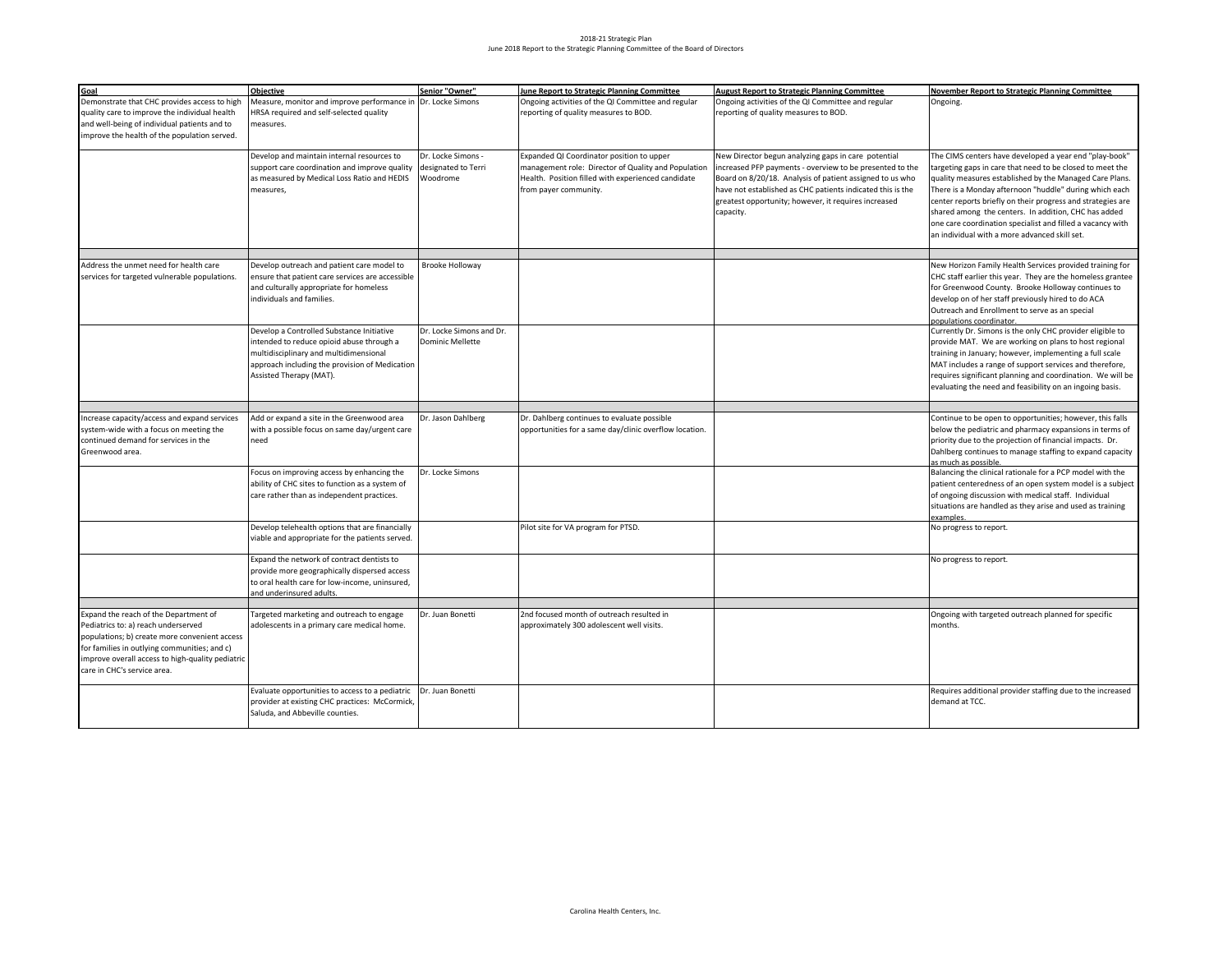## 2018-21 Strategic Plan June 2018 Report to the Strategic Planning Committee of the Board of Directors

| Goal                                             | Objective                                        | Senior "Owner"           | June Report to Strategic Planning Committee            | <b>August Report to Strategic Planning Committee</b>       | <b>November Report to Strategic Planning Committee</b>      |
|--------------------------------------------------|--------------------------------------------------|--------------------------|--------------------------------------------------------|------------------------------------------------------------|-------------------------------------------------------------|
| Demonstrate that CHC provides access to high     | Measure, monitor and improve performance in      | Dr. Locke Simons         | Ongoing activities of the QI Committee and regular     | Ongoing activities of the QI Committee and regular         | Ongoing.                                                    |
| quality care to improve the individual health    | HRSA required and self-selected quality          |                          | reporting of quality measures to BOD.                  | reporting of quality measures to BOD.                      |                                                             |
| and well-being of individual patients and to     |                                                  |                          |                                                        |                                                            |                                                             |
|                                                  | measures.                                        |                          |                                                        |                                                            |                                                             |
| improve the health of the population served.     |                                                  |                          |                                                        |                                                            |                                                             |
|                                                  | Develop and maintain internal resources to       | Dr. Locke Simons -       | Expanded QI Coordinator position to upper              | New Director begun analyzing gaps in care potential        | The CIMS centers have developed a year end "play-book"      |
|                                                  | support care coordination and improve quality    | designated to Terri      | management role: Director of Quality and Population    | increased PFP payments - overview to be presented to the   | targeting gaps in care that need to be closed to meet the   |
|                                                  | as measured by Medical Loss Ratio and HEDIS      | Woodrome                 | Health. Position filled with experienced candidate     |                                                            |                                                             |
|                                                  |                                                  |                          |                                                        | Board on 8/20/18. Analysis of patient assigned to us who   | quality measures established by the Managed Care Plans.     |
|                                                  | measures,                                        |                          | from payer community.                                  | have not established as CHC patients indicated this is the | There is a Monday afternoon "huddle" during which each      |
|                                                  |                                                  |                          |                                                        | greatest opportunity; however, it requires increased       | center reports briefly on their progress and strategies are |
|                                                  |                                                  |                          |                                                        | capacity.                                                  | shared among the centers. In addition, CHC has added        |
|                                                  |                                                  |                          |                                                        |                                                            | one care coordination specialist and filled a vacancy with  |
|                                                  |                                                  |                          |                                                        |                                                            | an individual with a more advanced skill set.               |
|                                                  |                                                  |                          |                                                        |                                                            |                                                             |
| Address the unmet need for health care           | Develop outreach and patient care model to       | <b>Brooke Holloway</b>   |                                                        |                                                            | New Horizon Family Health Services provided training for    |
| services for targeted vulnerable populations.    | ensure that patient care services are accessible |                          |                                                        |                                                            | CHC staff earlier this year. They are the homeless grantee  |
|                                                  | and culturally appropriate for homeless          |                          |                                                        |                                                            | for Greenwood County. Brooke Holloway continues to          |
|                                                  | individuals and families.                        |                          |                                                        |                                                            | develop on of her staff previously hired to do ACA          |
|                                                  |                                                  |                          |                                                        |                                                            | Outreach and Enrollment to serve as an special              |
|                                                  |                                                  |                          |                                                        |                                                            | populations coordinator.                                    |
|                                                  | Develop a Controlled Substance Initiative        | Dr. Locke Simons and Dr. |                                                        |                                                            | Currently Dr. Simons is the only CHC provider eligible to   |
|                                                  | ntended to reduce opioid abuse through a         | <b>Dominic Mellette</b>  |                                                        |                                                            | provide MAT. We are working on plans to host regional       |
|                                                  | multidisciplinary and multidimensional           |                          |                                                        |                                                            | training in January; however, implementing a full scale     |
|                                                  | approach including the provision of Medication   |                          |                                                        |                                                            | MAT includes a range of support services and therefore,     |
|                                                  | Assisted Therapy (MAT).                          |                          |                                                        |                                                            | requires significant planning and coordination. We will be  |
|                                                  |                                                  |                          |                                                        |                                                            | evaluating the need and feasibility on an ingoing basis.    |
|                                                  |                                                  |                          |                                                        |                                                            |                                                             |
|                                                  |                                                  |                          |                                                        |                                                            |                                                             |
| Increase capacity/access and expand services     | Add or expand a site in the Greenwood area       | Dr. Jason Dahlberg       | Dr. Dahlberg continues to evaluate possible            |                                                            | Continue to be open to opportunities; however, this falls   |
| system-wide with a focus on meeting the          | with a possible focus on same day/urgent care    |                          | opportunities for a same day/clinic overflow location. |                                                            | below the pediatric and pharmacy expansions in terms of     |
| continued demand for services in the             | need                                             |                          |                                                        |                                                            | priority due to the projection of financial impacts. Dr.    |
| Greenwood area.                                  |                                                  |                          |                                                        |                                                            | Dahlberg continues to manage staffing to expand capacity    |
|                                                  |                                                  |                          |                                                        |                                                            | as much as possible                                         |
|                                                  | Focus on improving access by enhancing the       | Dr. Locke Simons         |                                                        |                                                            | Balancing the clinical rationale for a PCP model with the   |
|                                                  | ability of CHC sites to function as a system of  |                          |                                                        |                                                            | patient centeredness of an open system model is a subject   |
|                                                  | care rather than as independent practices.       |                          |                                                        |                                                            | of ongoing discussion with medical staff. Individual        |
|                                                  |                                                  |                          |                                                        |                                                            | situations are handled as they arise and used as training   |
|                                                  | Develop telehealth options that are financially  |                          | Pilot site for VA program for PTSD.                    |                                                            | examples<br>No progress to report.                          |
|                                                  | viable and appropriate for the patients served.  |                          |                                                        |                                                            |                                                             |
|                                                  |                                                  |                          |                                                        |                                                            |                                                             |
|                                                  | Expand the network of contract dentists to       |                          |                                                        |                                                            | No progress to report.                                      |
|                                                  | provide more geographically dispersed access     |                          |                                                        |                                                            |                                                             |
|                                                  | to oral health care for low-income, uninsured,   |                          |                                                        |                                                            |                                                             |
|                                                  | and underinsured adults.                         |                          |                                                        |                                                            |                                                             |
|                                                  |                                                  |                          |                                                        |                                                            |                                                             |
| Expand the reach of the Department of            | Targeted marketing and outreach to engage        | Dr. Juan Bonetti         | 2nd focused month of outreach resulted in              |                                                            | Ongoing with targeted outreach planned for specific         |
| Pediatrics to: a) reach underserved              | adolescents in a primary care medical home.      |                          | approximately 300 adolescent well visits.              |                                                            | months.                                                     |
| populations; b) create more convenient access    |                                                  |                          |                                                        |                                                            |                                                             |
| for families in outlying communities; and c)     |                                                  |                          |                                                        |                                                            |                                                             |
| improve overall access to high-quality pediatric |                                                  |                          |                                                        |                                                            |                                                             |
| care in CHC's service area.                      |                                                  |                          |                                                        |                                                            |                                                             |
|                                                  | Evaluate opportunities to access to a pediatric  | Dr. Juan Bonetti         |                                                        |                                                            | Requires additional provider staffing due to the increased  |
|                                                  | provider at existing CHC practices: McCormick,   |                          |                                                        |                                                            | demand at TCC.                                              |
|                                                  | Saluda, and Abbeville counties.                  |                          |                                                        |                                                            |                                                             |
|                                                  |                                                  |                          |                                                        |                                                            |                                                             |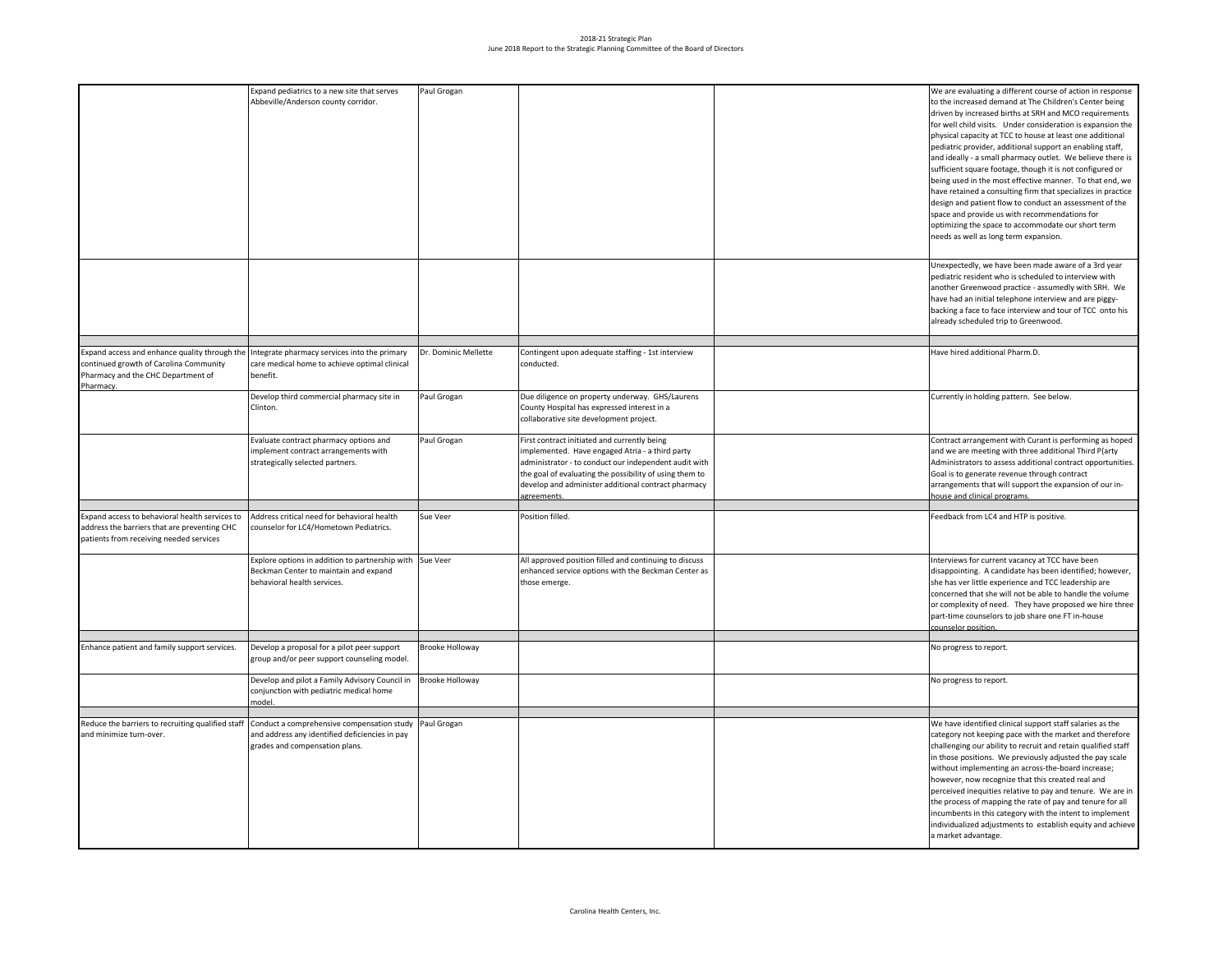## 2018-21 Strategic Plan June 2018 Report to the Strategic Planning Committee of the Board of Directors

|                                                                                                                                            | Expand pediatrics to a new site that serves<br>Abbeville/Anderson county corridor.                                               | Paul Grogan            |                                                                                                                                                          | We are evaluating a different course of action in response<br>to the increased demand at The Children's Center being<br>driven by increased births at SRH and MCO requirements<br>for well child visits. Under consideration is expansion the<br>physical capacity at TCC to house at least one additional<br>pediatric provider, additional support an enabling staff,<br>and ideally - a small pharmacy outlet. We believe there is<br>sufficient square footage, though it is not configured or<br>being used in the most effective manner. To that end, we<br>have retained a consulting firm that specializes in practice<br>design and patient flow to conduct an assessment of the<br>space and provide us with recommendations for<br>optimizing the space to accommodate our short term<br>needs as well as long term expansion. |
|--------------------------------------------------------------------------------------------------------------------------------------------|----------------------------------------------------------------------------------------------------------------------------------|------------------------|----------------------------------------------------------------------------------------------------------------------------------------------------------|-------------------------------------------------------------------------------------------------------------------------------------------------------------------------------------------------------------------------------------------------------------------------------------------------------------------------------------------------------------------------------------------------------------------------------------------------------------------------------------------------------------------------------------------------------------------------------------------------------------------------------------------------------------------------------------------------------------------------------------------------------------------------------------------------------------------------------------------|
|                                                                                                                                            |                                                                                                                                  |                        |                                                                                                                                                          | Unexpectedly, we have been made aware of a 3rd year<br>pediatric resident who is scheduled to interview with<br>another Greenwood practice - assumedly with SRH. We<br>have had an initial telephone interview and are piggy-<br>backing a face to face interview and tour of TCC onto his<br>already scheduled trip to Greenwood.                                                                                                                                                                                                                                                                                                                                                                                                                                                                                                        |
|                                                                                                                                            |                                                                                                                                  |                        |                                                                                                                                                          |                                                                                                                                                                                                                                                                                                                                                                                                                                                                                                                                                                                                                                                                                                                                                                                                                                           |
| Expand access and enhance quality through the<br>continued growth of Carolina Community<br>Pharmacy and the CHC Department of<br>Pharmacy. | Integrate pharmacy services into the primary<br>care medical home to achieve optimal clinical<br>benefit.                        | Dr. Dominic Mellette   | Contingent upon adequate staffing - 1st interview<br>conducted.                                                                                          | Have hired additional Pharm.D.                                                                                                                                                                                                                                                                                                                                                                                                                                                                                                                                                                                                                                                                                                                                                                                                            |
|                                                                                                                                            | Develop third commercial pharmacy site in<br>Clinton.                                                                            | Paul Grogan            | Due diligence on property underway. GHS/Laurens<br>County Hospital has expressed interest in a<br>collaborative site development project.                | Currently in holding pattern. See below.                                                                                                                                                                                                                                                                                                                                                                                                                                                                                                                                                                                                                                                                                                                                                                                                  |
|                                                                                                                                            | Evaluate contract pharmacy options and<br>implement contract arrangements with<br>strategically selected partners.               | Paul Grogan            | First contract initiated and currently being<br>implemented. Have engaged Atria - a third party<br>administrator - to conduct our independent audit with | Contract arrangement with Curant is performing as hoped<br>and we are meeting with three additional Third P{arty<br>Administrators to assess additional contract opportunities.                                                                                                                                                                                                                                                                                                                                                                                                                                                                                                                                                                                                                                                           |
|                                                                                                                                            |                                                                                                                                  |                        | the goal of evaluating the possibility of using them to<br>develop and administer additional contract pharmacy<br>agreements.                            | Goal is to generate revenue through contract<br>arrangements that will support the expansion of our in-<br>house and clinical programs.                                                                                                                                                                                                                                                                                                                                                                                                                                                                                                                                                                                                                                                                                                   |
|                                                                                                                                            |                                                                                                                                  |                        |                                                                                                                                                          |                                                                                                                                                                                                                                                                                                                                                                                                                                                                                                                                                                                                                                                                                                                                                                                                                                           |
| Expand access to behavioral health services to<br>address the barriers that are preventing CHC<br>patients from receiving needed services  | Address critical need for behavioral health<br>counselor for LC4/Hometown Pediatrics.                                            | Sue Veer               | Position filled.                                                                                                                                         | Feedback from LC4 and HTP is positive.                                                                                                                                                                                                                                                                                                                                                                                                                                                                                                                                                                                                                                                                                                                                                                                                    |
|                                                                                                                                            | Explore options in addition to partnership with Sue Veer<br>Beckman Center to maintain and expand<br>behavioral health services. |                        | All approved position filled and continuing to discuss<br>enhanced service options with the Beckman Center as<br>those emerge.                           | Interviews for current vacancy at TCC have been<br>disappointing. A candidate has been identified; however,<br>she has ver little experience and TCC leadership are<br>concerned that she will not be able to handle the volume<br>or complexity of need. They have proposed we hire three<br>part-time counselors to job share one FT in-house<br>ounselor position                                                                                                                                                                                                                                                                                                                                                                                                                                                                      |
|                                                                                                                                            |                                                                                                                                  |                        |                                                                                                                                                          |                                                                                                                                                                                                                                                                                                                                                                                                                                                                                                                                                                                                                                                                                                                                                                                                                                           |
| Enhance patient and family support services.                                                                                               | Develop a proposal for a pilot peer support<br>group and/or peer support counseling model.                                       | <b>Brooke Holloway</b> |                                                                                                                                                          | No progress to report.                                                                                                                                                                                                                                                                                                                                                                                                                                                                                                                                                                                                                                                                                                                                                                                                                    |
|                                                                                                                                            | Develop and pilot a Family Advisory Council in<br>conjunction with pediatric medical home<br>model.                              | <b>Brooke Holloway</b> |                                                                                                                                                          | No progress to report.                                                                                                                                                                                                                                                                                                                                                                                                                                                                                                                                                                                                                                                                                                                                                                                                                    |
|                                                                                                                                            |                                                                                                                                  | Paul Grogan            |                                                                                                                                                          |                                                                                                                                                                                                                                                                                                                                                                                                                                                                                                                                                                                                                                                                                                                                                                                                                                           |